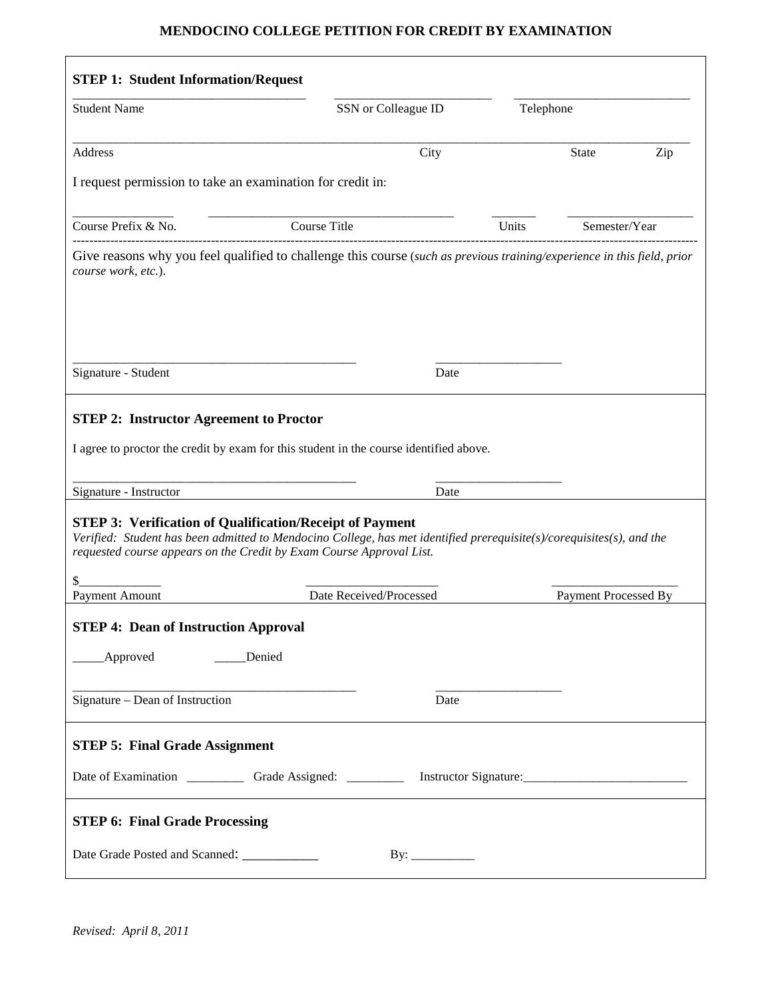# **MENDOCINO COLLEGE PETITION FOR CREDIT BY EXAMINATION**

| <b>Student Name</b>                                                                                                                                                                                                 | SSN or Colleague ID                                                                                                                                                                           | Telephone |                      |     |
|---------------------------------------------------------------------------------------------------------------------------------------------------------------------------------------------------------------------|-----------------------------------------------------------------------------------------------------------------------------------------------------------------------------------------------|-----------|----------------------|-----|
| Address                                                                                                                                                                                                             | City                                                                                                                                                                                          |           | <b>State</b>         | Zip |
| I request permission to take an examination for credit in:                                                                                                                                                          |                                                                                                                                                                                               |           |                      |     |
| Course Prefix & No.                                                                                                                                                                                                 | Course Title                                                                                                                                                                                  | Units     | Semester/Year        |     |
| course work, etc.).                                                                                                                                                                                                 | Give reasons why you feel qualified to challenge this course (such as previous training/experience in this field, prior                                                                       |           |                      |     |
|                                                                                                                                                                                                                     |                                                                                                                                                                                               |           |                      |     |
|                                                                                                                                                                                                                     |                                                                                                                                                                                               |           |                      |     |
| Signature - Student                                                                                                                                                                                                 | Date                                                                                                                                                                                          |           |                      |     |
|                                                                                                                                                                                                                     | I agree to proctor the credit by exam for this student in the course identified above.<br>Date                                                                                                |           |                      |     |
|                                                                                                                                                                                                                     | Verified: Student has been admitted to Mendocino College, has met identified prerequisite(s)/corequisites(s), and the<br>requested course appears on the Credit by Exam Course Approval List. |           |                      |     |
|                                                                                                                                                                                                                     | Date Received/Processed                                                                                                                                                                       |           | Payment Processed By |     |
| <b>STEP 2: Instructor Agreement to Proctor</b><br>Signature - Instructor<br><b>STEP 3: Verification of Qualification/Receipt of Payment</b><br><b>Payment Amount</b><br><b>STEP 4: Dean of Instruction Approval</b> |                                                                                                                                                                                               |           |                      |     |
| Approved                                                                                                                                                                                                            | Denied                                                                                                                                                                                        |           |                      |     |
| Signature - Dean of Instruction                                                                                                                                                                                     | Date                                                                                                                                                                                          |           |                      |     |
|                                                                                                                                                                                                                     |                                                                                                                                                                                               |           |                      |     |
| <b>STEP 5: Final Grade Assignment</b>                                                                                                                                                                               |                                                                                                                                                                                               |           |                      |     |
| <b>STEP 6: Final Grade Processing</b>                                                                                                                                                                               |                                                                                                                                                                                               |           |                      |     |